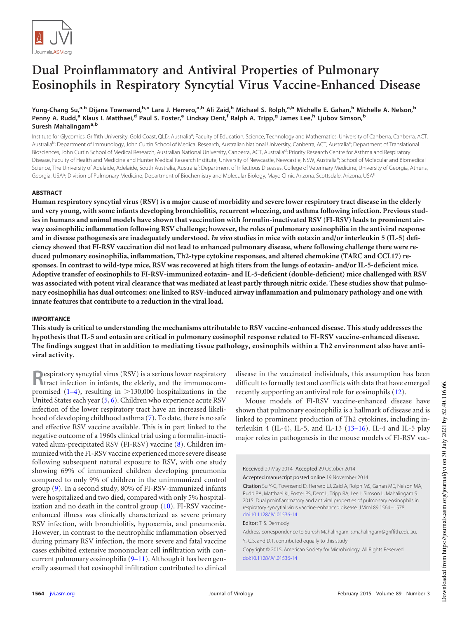

# **Dual Proinflammatory and Antiviral Properties of Pulmonary Eosinophils in Respiratory Syncytial Virus Vaccine-Enhanced Disease**

## Yung-Chang Su,<sup>a,b</sup> Dijana Townsend,<sup>b,c</sup> Lara J. Herrero,<sup>a,b</sup> Ali Zaid,<sup>b</sup> Michael S. Rolph,<sup>a,b</sup> Michelle E. Gahan,<sup>b</sup> Michelle A. Nelson,<sup>b</sup> Penny A. Rudd,<sup>a</sup> Klaus I. Matthaei,<sup>d</sup> Paul S. Foster,<sup>e</sup> Lindsay Dent,<sup>f</sup> Ralph A. Tripp,<sup>g</sup> James Lee,<sup>h</sup> Ljubov Simson,<sup>b</sup> **Suresh Mahalingama,b**

Institute for Glycomics, Griffith University, Gold Coast, QLD, Australia<sup>a</sup>; Faculty of Education, Science, Technology and Mathematics, University of Canberra, Canberra, ACT, Australia<sup>b</sup>; Department of Immunology, John Curtin School of Medical Research, Australian National University, Canberra, ACT, Australia<sup>c</sup>; Department of Translational Biosciences, John Curtin School of Medical Research, Australian National University, Canberra, ACT, Australia<sup>d</sup>; Priority Research Centre for Asthma and Respiratory Disease, Faculty of Health and Medicine and Hunter Medical Research Institute, University of Newcastle, Newcastle, NSW, Australia<sup>e</sup>; School of Molecular and Biomedical Science, The University of Adelaide, Adelaide, South Australia, Australia<sup>f</sup>; Department of Infectious Diseases, College of Veterinary Medicine, University of Georgia, Athens, Georgia, USA<sup>g</sup>; Division of Pulmonary Medicine, Department of Biochemistry and Molecular Biology, Mayo Clinic Arizona, Scottsdale, Arizona, USA<sup>h</sup>

## **ABSTRACT**

**Human respiratory syncytial virus (RSV) is a major cause of morbidity and severe lower respiratory tract disease in the elderly and very young, with some infants developing bronchiolitis, recurrent wheezing, and asthma following infection. Previous studies in humans and animal models have shown that vaccination with formalin-inactivated RSV (FI-RSV) leads to prominent airway eosinophilic inflammation following RSV challenge; however, the roles of pulmonary eosinophilia in the antiviral response and in disease pathogenesis are inadequately understood.** *In vivo* **studies in mice with eotaxin and/or interleukin 5 (IL-5) deficiency showed that FI-RSV vaccination did not lead to enhanced pulmonary disease, where following challenge there were reduced pulmonary eosinophilia, inflammation, Th2-type cytokine responses, and altered chemokine (TARC and CCL17) responses. In contrast to wild-type mice, RSV was recovered at high titers from the lungs of eotaxin- and/or IL-5-deficient mice. Adoptive transfer of eosinophils to FI-RSV-immunized eotaxin- and IL-5-deficient (double-deficient) mice challenged with RSV was associated with potent viral clearance that was mediated at least partly through nitric oxide. These studies show that pulmonary eosinophilia has dual outcomes: one linked to RSV-induced airway inflammation and pulmonary pathology and one with innate features that contribute to a reduction in the viral load.**

## **IMPORTANCE**

**This study is critical to understanding the mechanisms attributable to RSV vaccine-enhanced disease. This study addresses the hypothesis that IL-5 and eotaxin are critical in pulmonary eosinophil response related to FI-RSV vaccine-enhanced disease. The findings suggest that in addition to mediating tissue pathology, eosinophils within a Th2 environment also have antiviral activity.**

**R** espiratory syncytial virus (RSV) is a serious lower respiratory tract infection in infants, the elderly, and the immunocomtract infection in infants, the elderly, and the immunocompromised  $(1-4)$  $(1-4)$  $(1-4)$ , resulting in  $>130,000$  hospitalizations in the United States each year [\(5,](#page-12-3) [6\)](#page-12-4). Children who experience acute RSV infection of the lower respiratory tract have an increased likelihood of developing childhood asthma [\(7\)](#page-12-5). To date, there is no safe and effective RSV vaccine available. This is in part linked to the negative outcome of a 1960s clinical trial using a formalin-inactivated alum-precipitated RSV (FI-RSV) vaccine [\(8\)](#page-12-6). Children immunized with the FI-RSV vaccine experienced more severe disease following subsequent natural exposure to RSV, with one study showing 69% of immunized children developing pneumonia compared to only 9% of children in the unimmunized control group [\(9\)](#page-12-7). In a second study, 80% of FI-RSV-immunized infants were hospitalized and two died, compared with only 5% hospitalization and no death in the control group [\(10\)](#page-12-8). FI-RSV vaccineenhanced illness was clinically characterized as severe primary RSV infection, with bronchiolitis, hypoxemia, and pneumonia. However, in contrast to the neutrophilic inflammation observed during primary RSV infection, the more severe and fatal vaccine cases exhibited extensive mononuclear cell infiltration with concurrent pulmonary eosinophilia [\(9](#page-12-7)[–](#page-12-8)[11\)](#page-12-9). Although it has been generally assumed that eosinophil infiltration contributed to clinical

disease in the vaccinated individuals, this assumption has been difficult to formally test and conflicts with data that have emerged recently supporting an antiviral role for eosinophils [\(12\)](#page-13-0).

Mouse models of FI-RSV vaccine-enhanced disease have shown that pulmonary eosinophilia is a hallmark of disease and is linked to prominent production of Th2 cytokines, including interleukin 4 (IL-4), IL-5, and IL-13 ( $13-16$ ). IL-4 and IL-5 play major roles in pathogenesis in the mouse models of FI-RSV vac-

Received 29 May 2014 Accepted 29 October 2014 Accepted manuscript posted online 19 November 2014 Citation Su Y-C, Townsend D, Herrero LJ, Zaid A, Rolph MS, Gahan ME, Nelson MA, Rudd PA, Matthaei KI, Foster PS, Dent L, Tripp RA, Lee J, Simson L, Mahalingam S. 2015. Dual proinflammatory and antiviral properties of pulmonary eosinophils in respiratory syncytial virus vaccine-enhanced disease. J Virol 89:1564 –1578. doi:10.1128/JVI.01536-14. Editor: T. S. Dermody Address correspondence to Suresh Mahalingam, s.mahalingam@griffith.edu.au. Y.-C.S. and D.T. contributed equally to this study. Copyright © 2015, American Society for Microbiology. All Rights Reserved. doi:10.1128/JVI.01536-14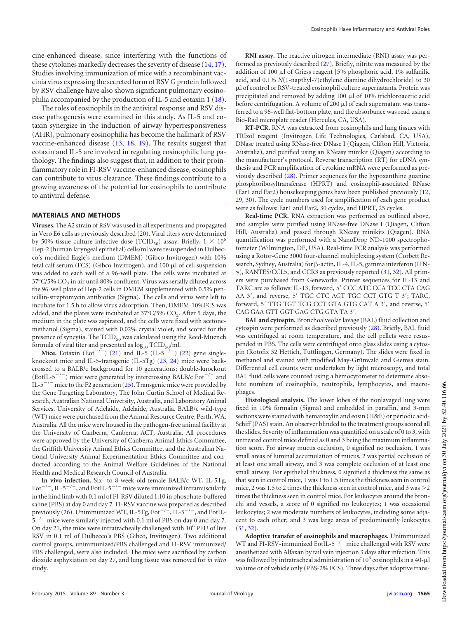cine-enhanced disease, since interfering with the functions of these cytokines markedly decreases the severity of disease [\(14,](#page-13-4) [17\)](#page-13-5). Studies involving immunization of mice with a recombinant vaccinia virus expressing the secreted form of RSV G protein followed by RSV challenge have also shown significant pulmonary eosinophilia accompanied by the production of IL-5 and eotaxin 1 [\(18\)](#page-13-6).

The roles of eosinophils in the antiviral response and RSV disease pathogenesis were examined in this study. As IL-5 and eotaxin synergize in the induction of airway hyperresponsiveness (AHR), pulmonary eosinophilia has become the hallmark of RSV vaccine-enhanced disease [\(13,](#page-13-1) [18,](#page-13-6) [19\)](#page-13-7). The results suggest that eotaxin and IL-5 are involved in regulating eosinophilic lung pathology. The findings also suggest that, in addition to their proinflammatory role in FI-RSV vaccine-enhanced disease, eosinophils can contribute to virus clearance. These findings contribute to a growing awareness of the potential for eosinophils to contribute to antiviral defense.

#### **MATERIALS AND METHODS**

**Viruses.** The A2 strain of RSV was used in all experiments and propagated in Vero E6 cells as previously described [\(20\)](#page-13-8). Viral titers were determined by 50% tissue culture infective dose (TCID<sub>50</sub>) assay. Briefly,  $1 \times 10^6$ Hep-2 (human laryngeal epithelial) cells/ml were resuspended in Dulbecco's modified Eagle's medium (DMEM) (Gibco Invitrogen) with 10% fetal calf serum (FCS) (Gibco Invitrogen), and 100 µl of cell suspension was added to each well of a 96-well plate. The cells were incubated at 37°C/5% CO $_2$  in air until 80% confluent. Virus was serially diluted across the 96-well plate of Hep-2 cells in DMEM supplemented with 0.5% penicillin-streptomycin antibiotics (Sigma). The cells and virus were left to incubate for 1.5 h to allow virus adsorption. Then, DMEM-10%FCS was added, and the plates were incubated at 37°C/5%  $\mathrm{CO}_2$ . After 5 days, the medium in the plate was aspirated, and the cells were fixed with acetonemethanol (Sigma), stained with 0.02% crystal violet, and scored for the presence of syncytia. The  $TCID_{50}$  was calculated using the Reed-Muench formula of viral titer and presented as  $log_{10} TCID_{50}/ml$ .

**Mice.** Eotaxin (Eot<sup>-/-</sup>) [\(21\)](#page-13-9) and IL-5 (IL-5<sup>-/-</sup>) [\(22\)](#page-13-10) gene singleknockout mice and IL-5-transgenic (IL-5Tg) [\(23,](#page-13-11) [24\)](#page-13-12) mice were backcrossed to a BALB/c background for 10 generations; double-knockout (EotIL-5<sup>-/-</sup>) mice were generated by intercrossing BALB/c Eot<sup>-/-</sup> and IL-5<sup>-/-</sup> mice to the F2 generation [\(25\)](#page-13-13). Transgenic mice were provided by the Gene Targeting Laboratory, The John Curtin School of Medical Research, Australian National University, Australia, and Laboratory Animal Services, University of Adelaide, Adelaide, Australia. BALB/c wild-type (WT) mice were purchased from the Animal Resource Centre, Perth, WA, Australia. All the mice were housed in the pathogen-free animal facility at the University of Canberra, Canberra, ACT, Australia. All procedures were approved by the University of Canberra Animal Ethics Committee, the Griffith University Animal Ethics Committee, and the Australian National University Animal Experimentation Ethics Committee and conducted according to the Animal Welfare Guidelines of the National Health and Medical Research Council of Australia.

**In vivo infection.** Six- to 8-week-old female BALB/c WT, IL-5Tg, Eot<sup> $-/-$ </sup>, IL-5<sup>-/-</sup>, and EotIL-5<sup>-/-</sup> mice were immunized intramuscularly in the hind limb with 0.1 ml of FI-RSV diluted 1:10 in phosphate-buffered saline (PBS) at day 0 and day 7. FI-RSV vaccine was prepared as described previously [\(26\)](#page-13-14). Unimmunized WT, IL-5Tg, Eot<sup>-/-</sup>, IL-5<sup>-/-</sup>, and EotIL- $5^{-/-}$  mice were similarly injected with 0.1 ml of PBS on day 0 and day 7. On day 21, the mice were intratracheally challenged with 10<sup>6</sup> PFU of live RSV in 0.1 ml of Dulbecco's PBS (Gibco, Invitrogen). Two additional control groups, unimmunized/PBS challenged and FI-RSV immunized/ PBS challenged, were also included. The mice were sacrificed by carbon dioxide asphyxiation on day 27, and lung tissue was removed for *in vitro* study.

**RNI assay.** The reactive nitrogen intermediate (RNI) assay was performed as previously described [\(27\)](#page-13-15). Briefly, nitrite was measured by the addition of 100 µl of Griess reagent [5% phosphoric acid, 1% sulfanilic acid, and 0.1% *N*(1-napthyl-7)ethylene diamine dihydrochloride] to 30 l of control or RSV-treated eosinophil culture supernatants. Protein was precipitated and removed by adding  $100 \mu l$  of  $10\%$  trichloroacetic acid before centrifugation. A volume of 200  $\mu$ l of each supernatant was transferred to a 96-well flat-bottom plate, and the absorbance was read using a Bio-Rad microplate reader (Hercules, CA, USA).

**RT-PCR.** RNA was extracted from eosinophils and lung tissues with TRIzol reagent (Invitrogen Life Technologies, Carlsbad, CA, USA), DNase treated using RNase-free DNase I (Qiagen, Clifton Hill, Victoria, Australia), and purified using an RNeasy minikit (Qiagen) according to the manufacturer's protocol. Reverse transcription (RT) for cDNA synthesis and PCR amplification of cytokine mRNA were performed as previously described [\(28\)](#page-13-16). Primer sequences for the hypoxanthine guanine phosphoribosyltransferase (HPRT) and eosinophil-associated RNase (Ear1 and Ear2) housekeeping genes have been published previously [\(12,](#page-13-0) [29,](#page-13-17) [30\)](#page-13-18). The cycle numbers used for amplification of each gene product were as follows: Ear1 and Ear2, 30 cycles, and HPRT, 25 cycles.

**Real-time PCR.** RNA extraction was performed as outlined above, and samples were purified using RNase-free DNase I (Qiagen, Clifton Hill, Australia) and passed through RNeasy minikits (Qiagen). RNA quantification was performed with a NanoDrop ND-1000 spectrophotometer (Wilmington, DE, USA). Real-time PCR analysis was performed using a Rotor-Gene 3000 four-channel multiplexing system (Corbett Research, Sydney, Australia) for  $\beta$ -actin, IL-4, IL-5, gamma interferon (IFN- $\gamma$ ), RANTES/CCL5, and CCR3 as previously reported [\(31,](#page-13-19) [32\)](#page-13-20). All primers were purchased from Geneworks. Primer sequences for IL-13 and TARC are as follows: IL-13, forward, 5' CCC ATC CCA TCC CTA CAG AA 3', and reverse, 5' TGC CTC AGT TGC CCT GTG T 3'; TARC, forward, 5' TTG TGT TCG CCT GTA GTG CAT A 3', and reverse, 5' CAG GAA GTT GGT GAG CTG GTA TA 3'.

**BAL and cytospin.** Bronchoalveolar lavage (BAL) fluid collection and cytospin were performed as described previously [\(28\)](#page-13-16). Briefly, BAL fluid was centrifuged at room temperature, and the cell pellets were resuspended in PBS. The cells were centrifuged onto glass slides using a cytospin (Rotofix 32 Hettich, Tuttlingen, Germany). The slides were fixed in methanol and stained with modified May-Grünwald and Giemsa stain. Differential cell counts were undertaken by light microscopy, and total BAL fluid cells were counted using a hemocytometer to determine absolute numbers of eosinophils, neutrophils, lymphocytes, and macrophages.

**Histological analysis.** The lower lobes of the nonlavaged lung were fixed in 10% formalin (Sigma) and embedded in paraffin, and 3-mm sections were stained with hematoxylin and eosin (H&E) or periodic acid-Schiff (PAS) stain. An observer blinded to the treatment groups scored all the slides. Severity of inflammation was quantified on a scale of 0 to 3, with untreated control mice defined as 0 and 3 being the maximum inflammation score. For airway mucus occlusion, 0 signified no occlusion, 1 was small areas of luminal accumulation of mucus, 2 was partial occlusion of at least one small airway, and 3 was complete occlusion of at least one small airway. For epithelial thickness, 0 signified a thickness the same as that seen in control mice, 1 was 1 to 1.5 times the thickness seen in control mice, 2 was 1.5 to 2 times the thickness seen in control mice, and 3 was  $>\!$  2 times the thickness seen in control mice. For leukocytes around the bronchi and vessels, a score of 0 signified no leukocytes; 1 was occasional leukocytes; 2 was moderate numbers of leukocytes, including some adjacent to each other; and 3 was large areas of predominantly leukocytes [\(31,](#page-13-19) [32\)](#page-13-20).

**Adoptive transfer of eosinophils and macrophages.** Unimmunized WT and FI-RSV-immunized EotIL- $5^{-/-}$  mice challenged with RSV were anesthetized with Alfaxan by tail vein injection 3 days after infection. This was followed by intratracheal administration of 10<sup>6</sup> eosinophils in a 40- $\mu$ l volume or of vehicle only (PBS-2% FCS). Three days after adoptive trans-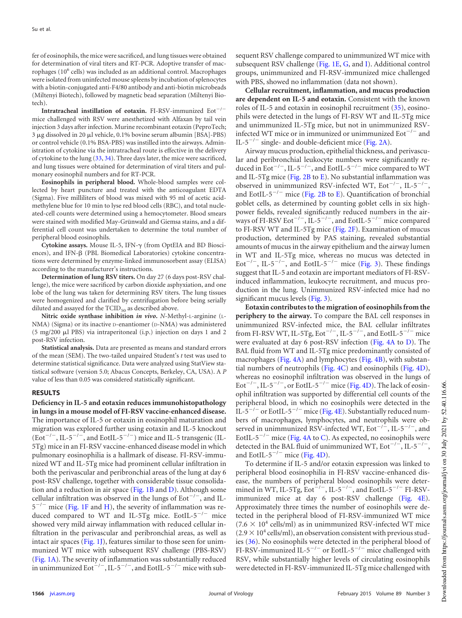fer of eosinophils, the mice were sacrificed, and lung tissues were obtained for determination of viral titers and RT-PCR. Adoptive transfer of macrophages (10<sup>6</sup> cells) was included as an additional control. Macrophages were isolated from uninfected mouse spleens by incubation of splenocytes with a biotin-conjugated anti-F4/80 antibody and anti-biotin microbeads (Miltenyi Biotech), followed by magnetic bead separation (Miltenyi Biotech).

**Intratracheal instillation of eotaxin.** FI-RSV-immunized Eot<sup>-/-</sup> mice challenged with RSV were anesthetized with Alfaxan by tail vein injection 3 days after infection. Murine recombinant eotaxin (PeproTech;  $3 \mu$ g dissolved in 20  $\mu$ l vehicle, 0.1% bovine serum albumin [BSA]-PBS) or control vehicle (0.1% BSA-PBS) was instilled into the airways. Administration of cytokine via the intratracheal route is effective in the delivery of cytokine to the lung [\(33,](#page-13-21) [34\)](#page-13-22). Three days later, the mice were sacrificed, and lung tissues were obtained for determination of viral titers and pulmonary eosinophil numbers and for RT-PCR.

**Eosinophils in peripheral blood.** Whole-blood samples were collected by heart puncture and treated with the anticoagulant EDTA (Sigma). Five milliliters of blood was mixed with 95 ml of acetic acidmethylene blue for 10 min to lyse red blood cells (RBC), and total nucleated-cell counts were determined using a hemocytometer. Blood smears were stained with modified May-Grünwald and Giemsa stains, and a differential cell count was undertaken to determine the total number of peripheral blood eosinophils.

Cytokine assays. Mouse IL-5, IFN- $\gamma$  (from OptEIA and BD Biosciences), and IFN- $\beta$  (PBL Biomedical Laboratories) cytokine concentrations were determined by enzyme-linked immunosorbent assay (ELISA) according to the manufacturer's instructions.

**Determination of lung RSV titers.** On day 27 (6 days post-RSV challenge), the mice were sacrificed by carbon dioxide asphyxiation, and one lobe of the lung was taken for determining RSV titers. The lung tissues were homogenized and clarified by centrifugation before being serially diluted and assayed for the  $TCID_{50}$  as described above.

**Nitric oxide synthase inhibition** *in vivo***.** *N*-Methyl-L-arginine (L-NMA) (Sigma) or its inactive D-enantiomer (D-NMA) was administered (5 mg/200  $\mu$ l PBS) via intraperitoneal (i.p.) injection on days 1 and 2 post-RSV infection.

**Statistical analysis.** Data are presented as means and standard errors of the mean (SEM). The two-tailed unpaired Student's *t* test was used to determine statistical significance. Data were analyzed using StatView statistical software (version 5.0; Abacus Concepts, Berkeley, CA, USA). A *P* value of less than 0.05 was considered statistically significant.

#### **RESULTS**

**Deficiency in IL-5 and eotaxin reduces immunohistopathology in lungs in a mouse model of FI-RSV vaccine-enhanced disease.** The importance of IL-5 or eotaxin in eosinophil maturation and migration was explored further using eotaxin and IL-5 knockout  $($ Eot<sup>-/-</sup>, IL-5<sup>-/-</sup>, and EotIL-5<sup>-/-</sup>) mice and IL-5 transgenic (IL-5Tg) mice in an FI-RSV vaccine-enhanced disease model in which pulmonary eosinophilia is a hallmark of disease. FI-RSV-immunized WT and IL-5Tg mice had prominent cellular infiltration in both the perivascular and peribronchial areas of the lung at day 6 post-RSV challenge, together with considerable tissue consolidation and a reduction in air space [\(Fig. 1B](#page-3-0) and [D\)](#page-3-0). Although some cellular infiltration was observed in the lungs of  $Eot^{-/-}$ , and IL- $5^{-/-}$  mice [\(Fig. 1F](#page-3-0) and [H\)](#page-3-0), the severity of inflammation was reduced compared to WT and IL-5Tg mice. EotIL- $5^{-/-}$  mice showed very mild airway inflammation with reduced cellular infiltration in the perivascular and peribronchial areas, as well as intact air spaces [\(Fig. 1J\)](#page-3-0), features similar to those seen for unimmunized WT mice with subsequent RSV challenge (PBS-RSV) [\(Fig. 1A\)](#page-3-0). The severity of inflammation was substantially reduced in unimmunized Eot<sup> $-/-$ </sup>, IL-5<sup> $-/-$ </sup>, and EotIL-5<sup> $-/-$ </sup> mice with subsequent RSV challenge compared to unimmunized WT mice with subsequent RSV challenge [\(Fig. 1E,](#page-3-0) [G,](#page-3-0) and [I\)](#page-3-0). Additional control groups, unimmunized and FI-RSV-immunized mice challenged with PBS, showed no inflammation (data not shown).

**Cellular recruitment, inflammation, and mucus production are dependent on IL-5 and eotaxin.** Consistent with the known roles of IL-5 and eotaxin in eosinophil recruitment [\(35\)](#page-13-23), eosinophils were detected in the lungs of FI-RSV WT and IL-5Tg mice and unimmunized IL-5Tg mice, but not in unimmunized RSVinfected WT mice or in immunized or unimmunized  $\text{Eot}^{-/-}$  and IL-5<sup>-/-</sup> single- and double-deficient mice [\(Fig. 2A\)](#page-4-0).

Airway mucus production, epithelial thickness, and perivascular and peribronchial leukocyte numbers were significantly reduced in  $Eot^{-/-}$ , IL-5<sup>-/-</sup>, and  $EotIL-5^{-/-}$  mice compared to WT and IL-5Tg mice (Fig.  $2B$  to [E\)](#page-4-0). No substantial inflammation was observed in unimmunized RSV-infected WT,  $Eot^{-/-}$ , IL-5<sup>-/-</sup>, and EotIL-5<sup> $-/-$ </sup> mice [\(Fig. 2B](#page-4-0) to [E\)](#page-4-0). Quantification of bronchial goblet cells, as determined by counting goblet cells in six highpower fields, revealed significantly reduced numbers in the airways of FI-RSV Eot<sup>-/-</sup>, IL-5<sup>-/-</sup>, and EotIL-5<sup>-/-</sup> mice compared to FI-RSV WT and IL-5Tg mice [\(Fig. 2F\)](#page-4-0). Examination of mucus production, determined by PAS staining, revealed substantial amounts of mucus in the airway epithelium and the airway lumen in WT and IL-5Tg mice, whereas no mucus was detected in Eot<sup>-/-</sup>, IL-5<sup>-/-</sup>, and EotIL-5<sup>-/-</sup> mice [\(Fig. 3\)](#page-5-0). These findings suggest that IL-5 and eotaxin are important mediators of FI-RSVinduced inflammation, leukocyte recruitment, and mucus production in the lung. Unimmunized RSV-infected mice had no significant mucus levels [\(Fig. 3\)](#page-5-0).

**Eotaxin contributes to the migration of eosinophils from the periphery to the airway.** To compare the BAL cell responses in unimmunized RSV-infected mice, the BAL cellular infiltrates from FI-RSV WT, IL-5Tg, Eot $^{-/-}$ , IL-5 $^{-/-}$ , and EotIL-5 $^{-/-}$  mice were evaluated at day 6 post-RSV infection [\(Fig. 4A](#page-6-0) to [D\)](#page-6-0). The BAL fluid from WT and IL-5Tg mice predominantly consisted of macrophages [\(Fig. 4A\)](#page-6-0) and lymphocytes [\(Fig. 4B\)](#page-6-0), with substantial numbers of neutrophils [\(Fig. 4C\)](#page-6-0) and eosinophils [\(Fig. 4D\)](#page-6-0), whereas no eosinophil infiltration was observed in the lungs of Eot<sup>-/-</sup>, IL-5<sup>-/-</sup>, or EotIL-5<sup>-/-</sup> mice [\(Fig. 4D\)](#page-6-0). The lack of eosinophil infiltration was supported by differential cell counts of the peripheral blood, in which no eosinophils were detected in the  $\overline{\rm IL}$ -5<sup>-/-</sup> or EotIL-5<sup>-/-</sup> mice [\(Fig. 4E\)](#page-6-0). Substantially reduced numbers of macrophages, lymphocytes, and neutrophils were observed in unimmunized RSV-infected WT,  $Eot^{-/-}$ , IL-5<sup>-/-</sup>, and EotIL-5<sup>-/-</sup> mice [\(Fig. 4A](#page-6-0) to [C\)](#page-6-0). As expected, no eosinophils were detected in the BAL fluid of unimmunized WT,  $\text{Eot}^{-/-}$ , IL-5<sup>-/-</sup>, and EotIL-5<sup>-/-</sup> mice [\(Fig. 4D\)](#page-6-0).

To determine if IL-5 and/or eotaxin expression was linked to peripheral blood eosinophilia in FI-RSV vaccine-enhanced disease, the numbers of peripheral blood eosinophils were determined in WT, IL-5Tg,  $Eot^{-/-}$ , IL-5<sup>-/-</sup>, and  $EotL-5^{-/-}$  FI-RSVimmunized mice at day 6 post-RSV challenge [\(Fig. 4E\)](#page-6-0). Approximately three times the number of eosinophils were detected in the peripheral blood of FI-RSV-immunized WT mice  $(7.6 \times 10^4 \text{ cells/ml})$  as in unimmunized RSV-infected WT mice  $(2.9 \times 10^4 \text{ cells/ml})$ , an observation consistent with previous studies [\(36\)](#page-13-24). No eosinophils were detected in the peripheral blood of FI-RSV-immunized IL-5<sup>-/-</sup> or EotIL-5<sup>-/-</sup> mice challenged with RSV, while substantially higher levels of circulating eosinophils were detected in FI-RSV-immunized IL-5Tg mice challenged with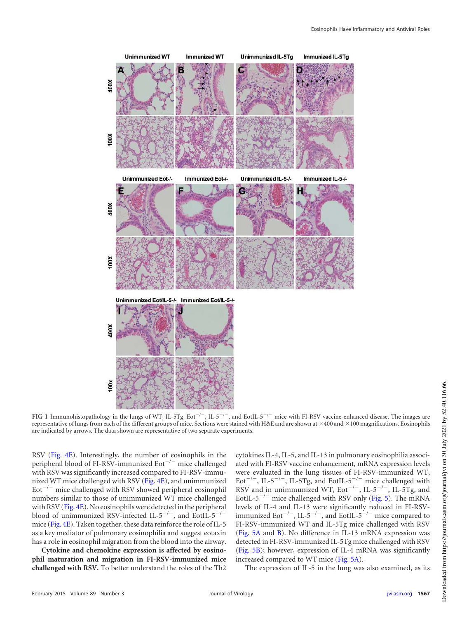

<span id="page-3-0"></span>FIG 1 Immunohistopathology in the lungs of WT, IL-5Tg, Eot<sup>-/-</sup>, IL-5<sup>-/-</sup>, and EotIL-5<sup>-/-</sup> mice with FI-RSV vaccine-enhanced disease. The images are representative of lungs from each of the different groups of mice. Sections were stained with H&E and are shown at  $\times$ 400 and  $\times$ 100 magnifications. Eosinophils are indicated by arrows. The data shown are representative of two separate experiments.

RSV [\(Fig. 4E\)](#page-6-0). Interestingly, the number of eosinophils in the peripheral blood of FI-RSV-immunized Eot $^{-/-}$  mice challenged with RSV was significantly increased compared to FI-RSV-immunized WT mice challenged with RSV [\(Fig. 4E\)](#page-6-0), and unimmunized  $\text{Eot}^{-/-}$  mice challenged with RSV showed peripheral eosinophil numbers similar to those of unimmunized WT mice challenged with RSV [\(Fig. 4E\)](#page-6-0). No eosinophils were detected in the peripheral blood of unimmunized RSV-infected IL-5<sup>-/-</sup>, and EotIL-5<sup>-/-</sup> mice [\(Fig. 4E\)](#page-6-0). Taken together, these data reinforce the role of IL-5 as a key mediator of pulmonary eosinophilia and suggest eotaxin has a role in eosinophil migration from the blood into the airway.

**Cytokine and chemokine expression is affected by eosinophil maturation and migration in FI-RSV-immunized mice challenged with RSV.** To better understand the roles of the Th2

cytokines IL-4, IL-5, and IL-13 in pulmonary eosinophilia associated with FI-RSV vaccine enhancement, mRNA expression levels were evaluated in the lung tissues of FI-RSV-immunized WT, Eot<sup>-/-</sup>, IL-5<sup>-/-</sup>, IL-5Tg, and EotIL-5<sup>-/-</sup> mice challenged with RSV and in unimmunized WT,  $Eot^{-/-}$ , IL-5<sup>-/-</sup>, IL-5Tg, and EotIL- $5^{-/-}$  mice challenged with RSV only [\(Fig. 5\)](#page-7-0). The mRNA levels of IL-4 and IL-13 were significantly reduced in FI-RSVimmunized Eot<sup>-/-</sup>, IL-5<sup>-/-</sup>, and EotIL-5<sup>-/-</sup> mice compared to FI-RSV-immunized WT and IL-5Tg mice challenged with RSV [\(Fig. 5A](#page-7-0) and [B\)](#page-7-0). No difference in IL-13 mRNA expression was detected in FI-RSV-immunized IL-5Tg mice challenged with RSV [\(Fig. 5B\)](#page-7-0); however, expression of IL-4 mRNA was significantly increased compared to WT mice [\(Fig. 5A\)](#page-7-0).

The expression of IL-5 in the lung was also examined, as its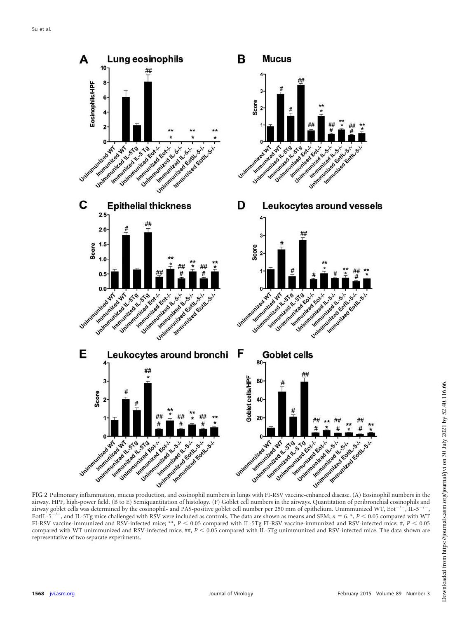

<span id="page-4-0"></span>airway. HPF, high-power field. (B to E) Semiquantitation of histology. (F) Goblet cell numbers in the airways. Quantitation of peribronchial eosinophils and airway goblet cells was determined by the eosinophil- and PAS-positive goblet cell number per 250 mm of epithelium. Unimmunized WT, Eot<sup>-/-</sup>, IL-5<sup>-/-</sup> ,  $EotIL-5$  $^{-}$ , and IL-5Tg mice challenged with RSV were included as controls. The data are shown as means and SEM;  $n = 6$ .  $*$ ,  $P < 0.05$  compared with WT FI-RSV vaccine-immunized and RSV-infected mice; \*\*,  $P < 0.05$  compared with IL-5Tg FI-RSV vaccine-immunized and RSV-infected mice; #,  $P < 0.05$ compared with WT unimmunized and RSV-infected mice; ##,  $P < 0.05$  compared with IL-5Tg unimmunized and RSV-infected mice. The data shown are representative of two separate experiments.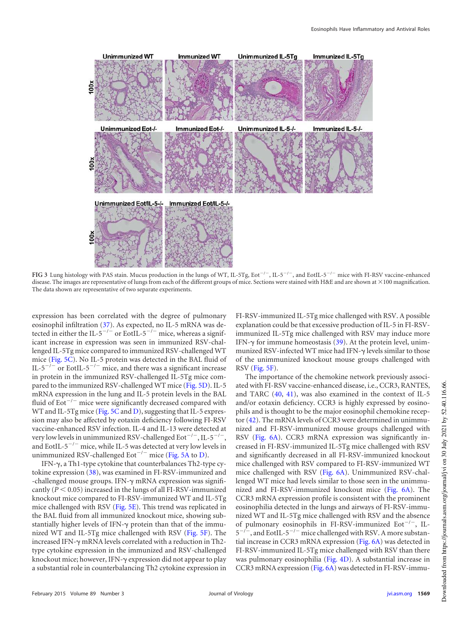

<span id="page-5-0"></span>FIG 3 Lung histology with PAS stain. Mucus production in the lungs of WT, IL-5Tg, Eot<sup>-/-</sup>, IL-5<sup>-/-</sup>, and EotIL-5<sup>-/-</sup> mice with FI-RSV vaccine-enhanced disease. The images are representative of lungs from each of the different groups of mice. Sections were stained with H&E and are shown at  $\times$  100 magnification. The data shown are representative of two separate experiments.

expression has been correlated with the degree of pulmonary eosinophil infiltration [\(37\)](#page-13-25). As expected, no IL-5 mRNA was detected in either the IL-5<sup>-/-</sup> or EotIL-5<sup>-/-</sup> mice, whereas a significant increase in expression was seen in immunized RSV-challenged IL-5Tg mice compared to immunized RSV-challenged WT mice [\(Fig. 5C\)](#page-7-0). No IL-5 protein was detected in the BAL fluid of IL-5<sup>-/-</sup> or EotIL-5<sup>-/-</sup> mice, and there was a significant increase in protein in the immunized RSV-challenged IL-5Tg mice compared to the immunized RSV-challenged WT mice [\(Fig. 5D\)](#page-7-0). IL-5 mRNA expression in the lung and IL-5 protein levels in the BAL fluid of Eot $^{-/-}$  mice were significantly decreased compared with WT and IL-5Tg mice [\(Fig. 5C](#page-7-0) and [D\)](#page-7-0), suggesting that IL-5 expression may also be affected by eotaxin deficiency following FI-RSV vaccine-enhanced RSV infection. IL-4 and IL-13 were detected at very low levels in unimmunized RSV-challenged  $\rm Eot^{-/-}$ , IL-5 $^{-/-}$ , and EotIL- $5^{-/-}$  mice, while IL-5 was detected at very low levels in unimmunized RSV-challenged Eot<sup> $-/-$ </sup> mice [\(Fig. 5A](#page-7-0) to [D\)](#page-7-0).

IFN- $\gamma$ , a Th1-type cytokine that counterbalances Th2-type cytokine expression [\(38\)](#page-13-26), was examined in FI-RSV-immunized and -challenged mouse groups. IFN- $\gamma$  mRNA expression was significantly  $(P < 0.05)$  increased in the lungs of all FI-RSV-immunized knockout mice compared to FI-RSV-immunized WT and IL-5Tg mice challenged with RSV [\(Fig. 5E\)](#page-7-0). This trend was replicated in the BAL fluid from all immunized knockout mice, showing substantially higher levels of IFN- $\gamma$  protein than that of the immunized WT and IL-5Tg mice challenged with RSV [\(Fig. 5F\)](#page-7-0). The increased IFN- $\gamma$  mRNA levels correlated with a reduction in Th2type cytokine expression in the immunized and RSV-challenged knockout mice; however, IFN- $\gamma$  expression did not appear to play a substantial role in counterbalancing Th2 cytokine expression in

FI-RSV-immunized IL-5Tg mice challenged with RSV. A possible explanation could be that excessive production of IL-5 in FI-RSVimmunized IL-5Tg mice challenged with RSV may induce more IFN- $\gamma$  for immune homeostasis [\(39\)](#page-13-27). At the protein level, unimmunized RSV-infected WT mice had IFN- $\gamma$  levels similar to those of the unimmunized knockout mouse groups challenged with RSV [\(Fig. 5F\)](#page-7-0).

The importance of the chemokine network previously associated with FI-RSV vaccine-enhanced disease, i.e., CCR3, RANTES, and TARC [\(40,](#page-13-28) [41\)](#page-13-29), was also examined in the context of IL-5 and/or eotaxin deficiency. CCR3 is highly expressed by eosinophils and is thought to be the major eosinophil chemokine receptor [\(42\)](#page-13-30). The mRNA levels of CCR3 were determined in unimmunized and FI-RSV-immunized mouse groups challenged with RSV [\(Fig. 6A\)](#page-8-0). CCR3 mRNA expression was significantly increased in FI-RSV-immunized IL-5Tg mice challenged with RSV and significantly decreased in all FI-RSV-immunized knockout mice challenged with RSV compared to FI-RSV-immunized WT mice challenged with RSV [\(Fig. 6A\)](#page-8-0). Unimmunized RSV-challenged WT mice had levels similar to those seen in the unimmunized and FI-RSV-immunized knockout mice [\(Fig. 6A\)](#page-8-0). The CCR3 mRNA expression profile is consistent with the prominent eosinophilia detected in the lungs and airways of FI-RSV-immunized WT and IL-5Tg mice challenged with RSV and the absence of pulmonary eosinophils in FI-RSV-immunized  $Eot^{-/-}$ , IL-5  $^{-/-}$ , and EotIL-5<sup>-/-</sup> mice challenged with RSV. A more substantial increase in CCR3 mRNA expression [\(Fig. 6A\)](#page-8-0) was detected in FI-RSV-immunized IL-5Tg mice challenged with RSV than there was pulmonary eosinophilia [\(Fig. 4D\)](#page-6-0). A substantial increase in CCR3 mRNA expression [\(Fig. 6A\)](#page-8-0) was detected in FI-RSV-immu-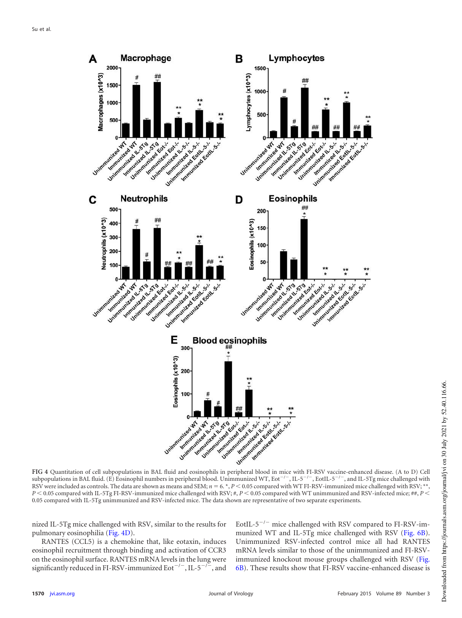

<span id="page-6-0"></span>subpopulations in BAL fluid. (E) Eosinophil numbers in peripheral blood. Unimmunized WT, Eot<sup>-/-</sup>, IL-5<sup>-/-</sup>, EotIL-5<sup>-/-</sup>, and IL-5Tg mice challenged with RSV were included as controls. The data are shown as means and SEM;  $n = 6.$ \*,  $P < 0.05$  compared with WT FI-RSV-immunized mice challenged with RSV; \*\*,  $P < 0.05$  compared with IL-5Tg FI-RSV-immunized mice challenged with RSV; #,  $P < 0.05$  compared with WT unimmunized and RSV-infected mice; ##,  $P < 0.05$ 0.05 compared with IL-5Tg unimmunized and RSV-infected mice. The data shown are representative of two separate experiments.

nized IL-5Tg mice challenged with RSV, similar to the results for pulmonary eosinophilia [\(Fig. 4D\)](#page-6-0).

RANTES (CCL5) is a chemokine that, like eotaxin, induces eosinophil recruitment through binding and activation of CCR3 on the eosinophil surface. RANTES mRNA levels in the lung were significantly reduced in FI-RSV-immunized Eot<sup>-/-</sup>, IL-5<sup>-/-</sup>, and EotIL- $5^{-/-}$  mice challenged with RSV compared to FI-RSV-immunized WT and IL-5Tg mice challenged with RSV [\(Fig. 6B\)](#page-8-0). Unimmunized RSV-infected control mice all had RANTES mRNA levels similar to those of the unimmunized and FI-RSVimmunized knockout mouse groups challenged with RSV [\(Fig.](#page-8-0) [6B\)](#page-8-0). These results show that FI-RSV vaccine-enhanced disease is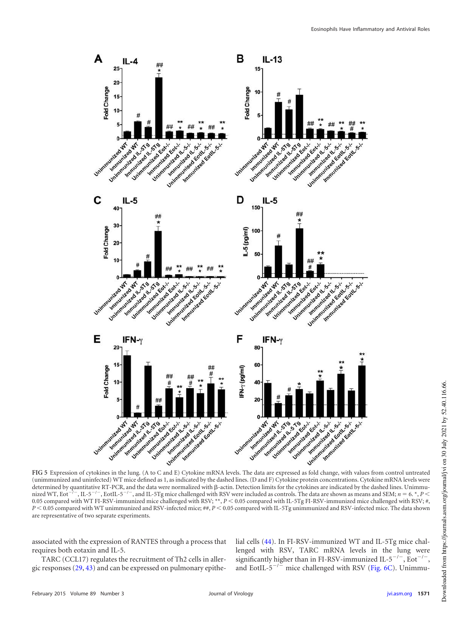

<span id="page-7-0"></span>(unimmunized and uninfected) WT mice defined as 1, as indicated by the dashed lines. (D and F) Cytokine protein concentrations. Cytokine mRNA levels were determined by quantitative RT-PCR, and the data were normalized with  $\beta$ -actin. Detection limits for the cytokines are indicated by the dashed lines. Unimmunized WT, Eot<sup>-7</sup> -, IL-5<sup>-1-</sup>, EotIL-5<sup>-1-</sup>, and IL-5Tg mice challenged with RSV were included as controls. The data are shown as means and SEM; *n* = 6. \*, *P* < 0.05 compared with WT FI-RSV-immunized mice challenged with RSV; \*\*, *P* < 0.05 compared with IL-5Tg FI-RSV-immunized mice challenged with RSV; #, *P* < 0.05 compared with WT unimmunized and RSV-infected mice; ##, *P* < 0.05 compared with IL-5Tg unimmunized and RSV-infected mice. The data shown are representative of two separate experiments.

associated with the expression of RANTES through a process that requires both eotaxin and IL-5.

TARC (CCL17) regulates the recruitment of Th2 cells in allergic responses [\(29,](#page-13-17) [43\)](#page-13-31) and can be expressed on pulmonary epithelial cells [\(44\)](#page-13-32). In FI-RSV-immunized WT and IL-5Tg mice challenged with RSV, TARC mRNA levels in the lung were significantly higher than in FI-RSV-immunized IL-5<sup>-/-</sup>, Eot<sup>-/-</sup>, and EotIL- $5^{-/-}$  mice challenged with RSV [\(Fig. 6C\)](#page-8-0). Unimmu-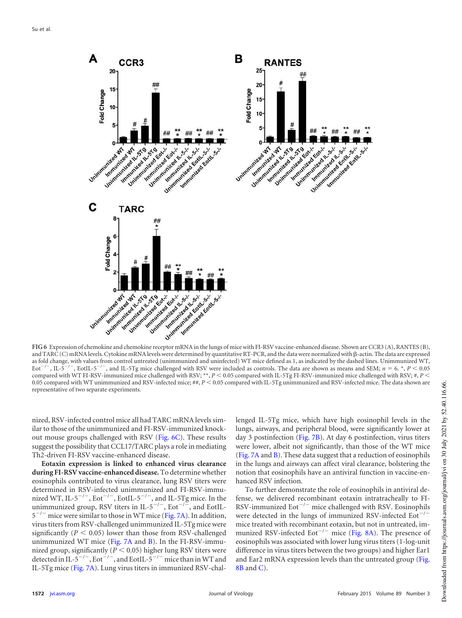

<span id="page-8-0"></span>and TARC (C) mRNA levels. Cytokine mRNA levels were determined by quantitative RT-PCR, and the data were normalized with  $\beta$ -actin. The data are expressed as fold change, with values from control untreated (unimmunized and uninfected) WT mice defined as 1, as indicated by the dashed lines. Unimmunized WT, Eot/  $\sqrt{-}$ , IL-5<sup>-1</sup> , EotIL-5<sup>-/-</sup>, and IL-5Tg mice challenged with RSV were included as controls. The data are shown as means and SEM;  $n = 6$ . \*,  $P < 0.05$ compared with WT FI-RSV-immunized mice challenged with RSV; \*\*,  $P < 0.05$  compared with IL-5Tg FI-RSV-immunized mice challenged with RSV; #,  $P < 0.05$ 0.05 compared with WT unimmunized and RSV-infected mice; ##,  $P$  < 0.05 compared with IL-5Tg unimmunized and RSV-infected mice. The data shown are representative of two separate experiments.

nized, RSV-infected control mice all had TARC mRNA levels similar to those of the unimmunized and FI-RSV-immunized knockout mouse groups challenged with RSV [\(Fig. 6C\)](#page-8-0). These results suggest the possibility that CCL17/TARC plays a role in mediating Th2-driven FI-RSV vaccine-enhanced disease.

**Eotaxin expression is linked to enhanced virus clearance during FI-RSV vaccine-enhanced disease.** To determine whether eosinophils contributed to virus clearance, lung RSV titers were determined in RSV-infected unimmunized and FI-RSV-immunized WT, IL-5<sup>-/-</sup>, Eot<sup>-/-</sup>, EotIL-5<sup>-/-</sup>, and IL-5Tg mice. In the unimmunized group, RSV titers in IL-5<sup>-/-</sup>, Eot<sup>-/-</sup>, and EotIL- $5^{-/-}$  mice were similar to those in WT mice [\(Fig. 7A\)](#page-9-0). In addition, virus titers from RSV-challenged unimmunized IL-5Tg mice were significantly  $(P < 0.05)$  lower than those from RSV-challenged unimmunized WT mice [\(Fig. 7A](#page-9-0) and [B\)](#page-9-0). In the FI-RSV-immunized group, significantly ( $P \leq 0.05$ ) higher lung RSV titers were detected in IL-5<sup>-/-</sup>, Eot<sup>-/-</sup>, and EotIL-5<sup>-/-</sup> mice than in WT and IL-5Tg mice [\(Fig. 7A\)](#page-9-0). Lung virus titers in immunized RSV-chal-

lenged IL-5Tg mice, which have high eosinophil levels in the lungs, airways, and peripheral blood, were significantly lower at day 3 postinfection [\(Fig. 7B\)](#page-9-0). At day 6 postinfection, virus titers were lower, albeit not significantly, than those of the WT mice [\(Fig. 7A](#page-9-0) and [B\)](#page-9-0). These data suggest that a reduction of eosinophils in the lungs and airways can affect viral clearance, bolstering the notion that eosinophils have an antiviral function in vaccine-enhanced RSV infection.

To further demonstrate the role of eosinophils in antiviral defense, we delivered recombinant eotaxin intratracheally to FI-RSV-immunized  $Eot^{-/-}$  mice challenged with RSV. Eosinophils were detected in the lungs of immunized RSV-infected  $Eot^{-/-}$ mice treated with recombinant eotaxin, but not in untreated, immunized RSV-infected Eot<sup> $-/-$ </sup> mice [\(Fig. 8A\)](#page-9-1). The presence of eosinophils was associated with lower lung virus titers (1-log-unit difference in virus titers between the two groups) and higher Ear1 and Ear2 mRNA expression levels than the untreated group [\(Fig.](#page-9-1) [8B](#page-9-1) and [C\)](#page-9-1).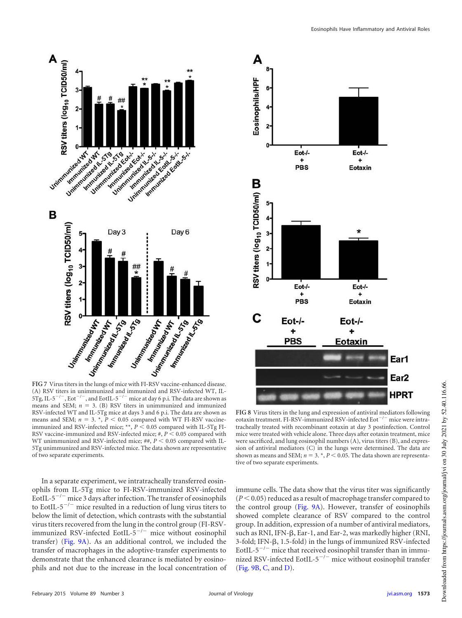



<span id="page-9-0"></span>(A) RSV titers in unimmunized and immunized and RSV-infected WT, IL-5Tg, IL-5<sup>-/-</sup>, Eot<sup>-/-</sup>, and EotIL-5<sup>-/-</sup> mice at day 6 p.i. The data are shown as means and SEM;  $n = 3$ . (B) RSV titers in unimmunized and immunized RSV-infected WT and IL-5Tg mice at days 3 and 6 p.i. The data are shown as means and SEM;  $n = 3$ .  $*$ ,  $P < 0.05$  compared with WT FI-RSV vaccineimmunized and RSV-infected mice; \*\*,  $P$  < 0.05 compared with IL-5Tg FI-RSV vaccine-immunized and RSV-infected mice;  $#$ ,  $P$  < 0.05 compared with WT unimmunized and RSV-infected mice; ##,  $P$  < 0.05 compared with IL-5Tg unimmunized and RSV-infected mice. The data shown are representative of two separate experiments.

In a separate experiment, we intratracheally transferred eosinophils from IL-5Tg mice to FI-RSV-immunized RSV-infected EotIL-5<sup> $-/-$ </sup> mice 3 days after infection. The transfer of eosinophils to EotIL- $5^{-/-}$  mice resulted in a reduction of lung virus titers to below the limit of detection, which contrasts with the substantial virus titers recovered from the lung in the control group (FI-RSVimmunized RSV-infected EotIL- $5^{-/-}$  mice without eosinophil transfer) [\(Fig. 9A\)](#page-10-0). As an additional control, we included the transfer of macrophages in the adoptive-transfer experiments to demonstrate that the enhanced clearance is mediated by eosinophils and not due to the increase in the local concentration of



<span id="page-9-1"></span>**FIG 8** Virus titers in the lung and expression of antiviral mediators following eotaxin treatment. FI-RSV-immunized RSV-infected  $Eot^{-/-}$  mice were intratracheally treated with recombinant eotaxin at day 3 postinfection. Control mice were treated with vehicle alone. Three days after eotaxin treatment, mice were sacrificed, and lung eosinophil numbers (A), virus titers (B), and expression of antiviral mediators (C) in the lungs were determined. The data are shown as means and SEM;  $n = 3$ .  $n$ ,  $P$  < 0.05. The data shown are representative of two separate experiments.

immune cells. The data show that the virus titer was significantly  $(P < 0.05)$  reduced as a result of macrophage transfer compared to the control group [\(Fig. 9A\)](#page-10-0). However, transfer of eosinophils showed complete clearance of RSV compared to the control group. In addition, expression of a number of antiviral mediators, such as RNI, IFN- $\beta$ , Ear-1, and Ear-2, was markedly higher (RNI,  $3$ -fold; IFN- $\beta$ , 1.5-fold) in the lungs of immunized RSV-infected EotIL- $5^{-/-}$  mice that received eosinophil transfer than in immunized RSV-infected EotIL- $5^{-/-}$  mice without eosinophil transfer [\(Fig. 9B,](#page-10-0) [C,](#page-10-0) and [D\)](#page-10-0).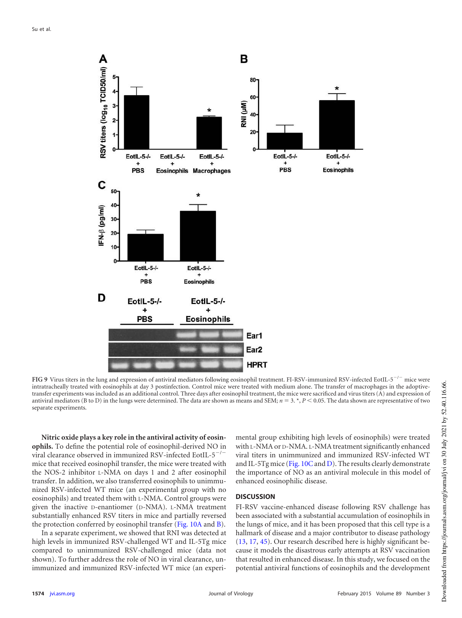

<span id="page-10-0"></span>FIG 9 Virus titers in the lung and expression of antiviral mediators following eosinophil treatment. FI-RSV-immunized RSV-infected EotIL-5<sup>-/-</sup> mice were intratracheally treated with eosinophils at day 3 postinfection. Control mice were treated with medium alone. The transfer of macrophages in the adoptivetransfer experiments was included as an additional control. Three days after eosinophil treatment, the mice were sacrificed and virus titers (A) and expression of antiviral mediators (B to D) in the lungs were determined. The data are shown as means and SEM;  $n = 3$ ,  $\gamma$ ,  $P \le 0.05$ . The data shown are representative of two separate experiments.

**Nitric oxide plays a key role in the antiviral activity of eosinophils.** To define the potential role of eosinophil-derived NO in viral clearance observed in immunized RSV-infected EotIL- $5^{-/-}$ mice that received eosinophil transfer, the mice were treated with the NOS-2 inhibitor L-NMA on days 1 and 2 after eosinophil transfer. In addition, we also transferred eosinophils to unimmunized RSV-infected WT mice (an experimental group with no eosinophils) and treated them with L-NMA. Control groups were given the inactive D-enantiomer (D-NMA). L-NMA treatment substantially enhanced RSV titers in mice and partially reversed the protection conferred by eosinophil transfer [\(Fig. 10A](#page-11-0) and [B\)](#page-11-0).

In a separate experiment, we showed that RNI was detected at high levels in immunized RSV-challenged WT and IL-5Tg mice compared to unimmunized RSV-challenged mice (data not shown). To further address the role of NO in viral clearance, unimmunized and immunized RSV-infected WT mice (an experimental group exhibiting high levels of eosinophils) were treated with L-NMA or D-NMA. L-NMA treatment significantly enhanced viral titers in unimmunized and immunized RSV-infected WT and IL-5Tg mice [\(Fig. 10C](#page-11-0) and [D\)](#page-11-0). The results clearly demonstrate the importance of NO as an antiviral molecule in this model of enhanced eosinophilic disease.

# **DISCUSSION**

FI-RSV vaccine-enhanced disease following RSV challenge has been associated with a substantial accumulation of eosinophils in the lungs of mice, and it has been proposed that this cell type is a hallmark of disease and a major contributor to disease pathology [\(13,](#page-13-1) [17,](#page-13-5) [45\)](#page-14-0). Our research described here is highly significant because it models the disastrous early attempts at RSV vaccination that resulted in enhanced disease. In this study, we focused on the potential antiviral functions of eosinophils and the development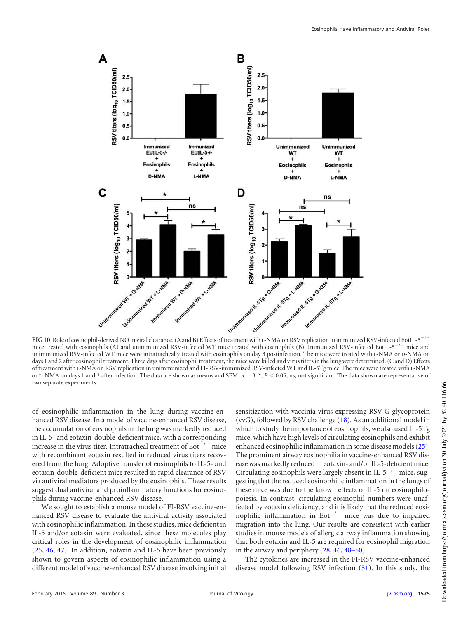

<span id="page-11-0"></span>mice treated with eosinophils (A) and unimmunized RSV-infected WT mice treated with eosinophils (B). Immunized RSV-infected EotIL- $5^{-/-}$  mice and unimmunized RSV-infected WT mice were intratracheally treated with eosinophils on day 3 postinfection. The mice were treated with L-NMA or D-NMA on days 1 and 2 after eosinophil treatment. Three days after eosinophil treatment, the mice were killed and virus titers in the lung were determined. (C and D) Effects of treatment with L-NMA on RSV replication in unimmunized and FI-RSV-immunized RSV-infected WT and IL-5Tg mice. The mice were treated with L-NMA or D-NMA on days 1 and 2 after infection. The data are shown as means and SEM;  $n = 3$ . \*,  $P < 0.05$ ; ns, not significant. The data shown are representative of two separate experiments.

of eosinophilic inflammation in the lung during vaccine-enhanced RSV disease. In a model of vaccine-enhanced RSV disease, the accumulation of eosinophils in the lung was markedly reduced in IL-5- and eotaxin-double-deficient mice, with a corresponding increase in the virus titer. Intratracheal treatment of  $Eot^{-/-}$  mice with recombinant eotaxin resulted in reduced virus titers recovered from the lung. Adoptive transfer of eosinophils to IL-5- and eotaxin-double-deficient mice resulted in rapid clearance of RSV via antiviral mediators produced by the eosinophils. These results suggest dual antiviral and proinflammatory functions for eosinophils during vaccine-enhanced RSV disease.

We sought to establish a mouse model of FI-RSV vaccine-enhanced RSV disease to evaluate the antiviral activity associated with eosinophilic inflammation. In these studies, mice deficient in IL-5 and/or eotaxin were evaluated, since these molecules play critical roles in the development of eosinophilic inflammation [\(25,](#page-13-13) [46,](#page-14-1) [47\)](#page-14-2). In addition, eotaxin and IL-5 have been previously shown to govern aspects of eosinophilic inflammation using a different model of vaccine-enhanced RSV disease involving initial

sensitization with vaccinia virus expressing RSV G glycoprotein (vvG), followed by RSV challenge [\(18\)](#page-13-6). As an additional model in which to study the importance of eosinophils, we also used IL-5Tg mice, which have high levels of circulating eosinophils and exhibit enhanced eosinophilic inflammation in some disease models [\(25\)](#page-13-13). The prominent airway eosinophilia in vaccine-enhanced RSV disease was markedly reduced in eotaxin- and/or IL-5-deficient mice. Circulating eosinophils were largely absent in IL-5<sup>-/-</sup> mice, suggesting that the reduced eosinophilic inflammation in the lungs of these mice was due to the known effects of IL-5 on eosinophilopoiesis. In contrast, circulating eosinophil numbers were unaffected by eotaxin deficiency, and it is likely that the reduced eosinophilic inflammation in Eot<sup> $-/-$ </sup> mice was due to impaired migration into the lung. Our results are consistent with earlier studies in mouse models of allergic airway inflammation showing that both eotaxin and IL-5 are required for eosinophil migration in the airway and periphery [\(28,](#page-13-16) [46,](#page-14-1) [48](#page-14-3)[–](#page-14-4)[50\)](#page-14-5).

Th2 cytokines are increased in the FI-RSV vaccine-enhanced disease model following RSV infection [\(51\)](#page-14-6). In this study, the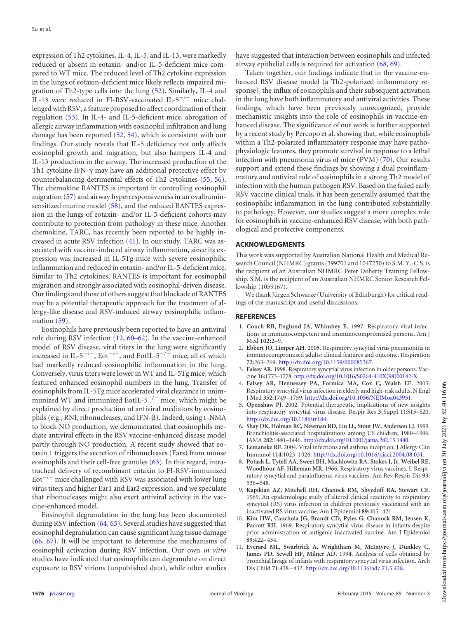expression of Th2 cytokines, IL-4, IL-5, and IL-13, were markedly reduced or absent in eotaxin- and/or IL-5-deficient mice compared to WT mice. The reduced level of Th2 cytokine expression in the lungs of eotaxin-deficient mice likely reflects impaired migration of Th2-type cells into the lung [\(52\)](#page-14-7). Similarly, IL-4 and IL-13 were reduced in FI-RSV-vaccinated IL- $5^{-/-}$  mice challenged with RSV, a feature proposed to affect coordination of their regulation [\(53\)](#page-14-8). In IL-4- and IL-5-deficient mice, abrogation of allergic airway inflammation with eosinophil infiltration and lung damage has been reported [\(52,](#page-14-7) [54\)](#page-14-9), which is consistent with our findings. Our study reveals that IL-5 deficiency not only affects eosinophil growth and migration, but also hampers IL-4 and IL-13 production in the airway. The increased production of the Th1 cytokine IFN- $\gamma$  may have an additional protective effect by counterbalancing detrimental effects of Th2 cytokines [\(55,](#page-14-10) [56\)](#page-14-11). The chemokine RANTES is important in controlling eosinophil migration [\(57\)](#page-14-12) and airway hyperresponsiveness in an ovalbuminsensitized murine model [\(58\)](#page-14-13), and the reduced RANTES expression in the lungs of eotaxin- and/or IL-5-deficient cohorts may contribute to protection from pathology in these mice. Another chemokine, TARC, has recently been reported to be highly increased in acute RSV infection [\(41\)](#page-13-29). In our study, TARC was associated with vaccine-induced airway inflammation, since its expression was increased in IL-5Tg mice with severe eosinophilic inflammation and reduced in eotaxin- and/or IL-5-deficient mice. Similar to Th2 cytokines, RANTES is important for eosinophil migration and strongly associated with eosinophil-driven disease. Our findings and those of others suggest that blockade of RANTES may be a potential therapeutic approach for the treatment of allergy-like disease and RSV-induced airway eosinophilic inflam-mation [\(59\)](#page-14-14).

Eosinophils have previously been reported to have an antiviral role during RSV infection [\(12,](#page-13-0) [60](#page-14-15)[–](#page-14-16)[62\)](#page-14-17). In the vaccine-enhanced model of RSV disease, viral titers in the lung were significantly increased in IL-5<sup>-/-</sup>, Eot<sup>-/-</sup>, and EotIL-5<sup>-/-</sup> mice, all of which had markedly reduced eosinophilic inflammation in the lung. Conversely, virus titers were lower in WT and IL-5Tg mice, which featured enhanced eosinophil numbers in the lung. Transfer of eosinophils from IL-5Tg mice accelerated viral clearance in unimmunized WT and immunized EotIL- $5^{-/-}$  mice, which might be explained by direct production of antiviral mediators by eosinophils (e.g., RNI, ribonucleases, and IFN- $\beta$ ). Indeed, using L-NMA to block NO production, we demonstrated that eosinophils mediate antiviral effects in the RSV vaccine-enhanced disease model partly through NO production. A recent study showed that eotaxin 1 triggers the secretion of ribonucleases (Ears) from mouse eosinophils and their cell-free granules [\(63\)](#page-14-18). In this regard, intratracheal delivery of recombinant eotaxin to FI-RSV-immunized  $\text{Eot}^{-/-}$  mice challenged with RSV was associated with lower lung virus titers and higher Ear1 and Ear2 expression, and we speculate that ribonucleases might also exert antiviral activity in the vaccine-enhanced model.

Eosinophil degranulation in the lung has been documented during RSV infection [\(64,](#page-14-19) [65\)](#page-14-20)**.** Several studies have suggested that eosinophil degranulation can cause significant lung tissue damage [\(66,](#page-14-21) [67\)](#page-14-22). It will be important to determine the mechanisms of eosinophil activation during RSV infection. Our own *in vitro* studies have indicated that eosinophils can degranulate on direct exposure to RSV virions (unpublished data), while other studies

have suggested that interaction between eosinophils and infected airway epithelial cells is required for activation [\(68,](#page-14-23) [69\)](#page-14-24).

Taken together, our findings indicate that in the vaccine-enhanced RSV disease model (a Th2-polarized inflammatory response), the influx of eosinophils and their subsequent activation in the lung have both inflammatory and antiviral activities. These findings, which have been previously unrecognized, provide mechanistic insights into the role of eosinophils in vaccine-enhanced disease. The significance of our work is further supported by a recent study by Percopo et al. showing that, while eosinophils within a Th2-polarized inflammatory response may have pathophysiologic features, they promote survival in response to a lethal infection with pneumonia virus of mice (PVM) [\(70\)](#page-14-25). Our results support and extend these findings by showing a dual proinflammatory and antiviral role of eosinophils in a strong Th2 model of infection with the human pathogen RSV. Based on the failed early RSV vaccine clinical trials, it has been generally assumed that the eosinophilic inflammation in the lung contributed substantially to pathology. However, our studies suggest a more complex role for eosinophils in vaccine-enhanced RSV disease, with both pathological and protective components.

# **ACKNOWLEDGMENTS**

This work was supported by Australian National Health and Medical Research Council (NHMRC) grants (399701 and 1047250) to S.M. Y.-C.S. is the recipient of an Australian NHMRC Peter Doherty Training Fellowship. S.M. is the recipient of an Australian NHMRC Senior Research Fellowship (1059167).

We thank Jürgen Schwarze (University of Edinburgh) for critical readings of the manuscript and useful discussions.

# <span id="page-12-0"></span>**REFERENCES**

- 1. **Couch RB, Englund JA, Whimbey E.** 1997. Respiratory viral infections in immunocompetent and immunocompromised persons. Am J Med **102:**2–9.
- 2. **Ebbert JO, Limper AH.** 2005. Respiratory syncytial virus pneumonitis in immunocompromised adults: clinical features and outcome. Respiration **72:**263–269. http://dx.doi.org/10.1159/000085367.
- <span id="page-12-2"></span><span id="page-12-1"></span>3. **Falsey AR.** 1998. Respiratory syncytial virus infection in older persons. Vaccine **16:**1775–1778. http://dx.doi.org/10.1016/S0264-410X(98)00142-X.
- 4. **Falsey AR, Hennessey PA, Formica MA, Cox C, Walsh EE.** 2005. Respiratory syncytial virus infection in elderly and high-risk adults. N Engl J Med **352:**1749 –1759. http://dx.doi.org/10.1056/NEJMoa043951.
- <span id="page-12-4"></span><span id="page-12-3"></span>5. **Openshaw PJ.** 2002. Potential therapeutic implications of new insights into respiratory syncytial virus disease. Respir Res **3**(Suppl 1)**:**S15–S20. http://dx.doi.org/10.1186/rr184.
- <span id="page-12-5"></span>6. **Shay DK, Holman RC, Newman RD, Liu LL, Stout JW, Anderson LJ.** 1999. Bronchiolitis-associated hospitalizations among US children, 1980 –1996. JAMA **282:**1440 –1446. http://dx.doi.org/10.1001/jama.282.15.1440.
- <span id="page-12-6"></span>7. **Lemanske RF.** 2004. Viral infections and asthma inception. J Allergy Clin Immunol **114:**1023–1026. http://dx.doi.org/10.1016/j.jaci.2004.08.031.
- 8. **Potash L, Tytell AA, Sweet BH, Machlowitz RA, Stokes J, Jr, Weibel RE, Woodhour AF, Hilleman MR.** 1966. Respiratory virus vaccines. I. Respiratory syncytial and parainfluenza virus vaccines. Am Rev Respir Dis **93:** 536 –548.
- <span id="page-12-7"></span>9. **Kapikian AZ, Mitchell RH, Chanock RM, Shvedoff RA, Stewart CE.** 1969. An epidemiologic study of altered clinical reactivity to respiratory syncytial (RS) virus infection in children previously vaccinated with an inactivated RS virus vaccine. Am J Epidemiol **89:**405–421.
- <span id="page-12-8"></span>10. **Kim HW, Canchola JG, Brandt CD, Pyles G, Chanock RM, Jensen K, Parrott RH.** 1969. Respiratory syncytial virus disease in infants despite prior administration of antigenic inactivated vaccine. Am J Epidemiol **89:**422–434.
- <span id="page-12-9"></span>11. **Everard ML, Swarbrick A, Wrightham M, McIntyre J, Dunkley C, James PD, Sewell HF, Milner AD.** 1994. Analysis of cells obtained by bronchial lavage of infants with respiratory syncytial virus infection. Arch Dis Child **71:**428 –432. http://dx.doi.org/10.1136/adc.71.5.428.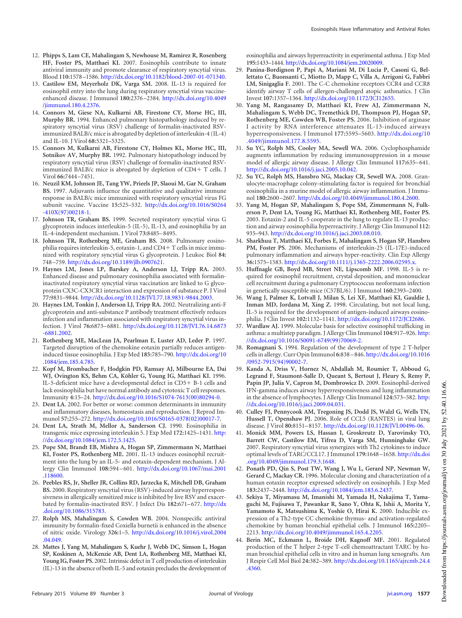- <span id="page-13-0"></span>12. **Phipps S, Lam CE, Mahalingam S, Newhouse M, Ramirez R, Rosenberg HF, Foster PS, Matthaei KI.** 2007. Eosinophils contribute to innate antiviral immunity and promote clearance of respiratory syncytial virus. Blood **110:**1578 –1586. http://dx.doi.org/10.1182/blood-2007-01-071340.
- <span id="page-13-1"></span>13. **Castilow EM, Meyerholz DK, Varga SM.** 2008. IL-13 is required for eosinophil entry into the lung during respiratory syncytial virus vaccineenhanced disease. J Immunol **180:**2376 –2384. http://dx.doi.org/10.4049 /jimmunol.180.4.2376.
- <span id="page-13-4"></span>14. **Connors M, Giese NA, Kulkarni AB, Firestone CY, Morse HC, III, Murphy BR.** 1994. Enhanced pulmonary histopathology induced by respiratory syncytial virus (RSV) challenge of formalin-inactivated RSVimmunized BALB/c mice is abrogated by depletion of interleukin-4 (IL-4) and IL-10. J Virol **68:**5321–5325.
- <span id="page-13-2"></span>15. **Connors M, Kulkarni AB, Firestone CY, Holmes KL, Morse HC, III, Sotnikov AV, Murphy BR.** 1992. Pulmonary histopathology induced by respiratory syncytial virus (RSV) challenge of formalin-inactivated RSVimmunized BALB/c mice is abrogated by depletion of CD4 T cells. J Virol **66:**7444 –7451.
- <span id="page-13-3"></span>16. **Neuzil KM, Johnson JE, Tang YW, Prieels JP, Slaoui M, Gar N, Graham BS.** 1997. Adjuvants influence the quantitative and qualitative immune response in BALB/c mice immunized with respiratory syncytial virus FG subunit vaccine. Vaccine **15:**525–532. http://dx.doi.org/10.1016/S0264  $-410X(97)00218-1.$
- <span id="page-13-5"></span>17. **Johnson TR, Graham BS.** 1999. Secreted respiratory syncytial virus G glycoprotein induces interleukin-5 (IL-5), IL-13, and eosinophilia by an IL-4-independent mechanism. J Virol **73:**8485–8495.
- <span id="page-13-6"></span>18. **Johnson TR, Rothenberg ME, Graham BS.** 2008. Pulmonary eosinophilia requires interleukin-5, eotaxin-1, and CD4 T cells in mice immunized with respiratory syncytial virus G glycoprotein. J Leukoc Biol **84:** 748 –759. http://dx.doi.org/10.1189/jlb.0907621.
- <span id="page-13-7"></span>19. **Haynes LM, Jones LP, Barskey A, Anderson LJ, Tripp RA.** 2003. Enhanced disease and pulmonary eosinophilia associated with formalininactivated respiratory syncytial virus vaccination are linked to G glycoprotein CX3C-CX3CR1 interaction and expression of substance P. J Virol **77:**9831–9844. http://dx.doi.org/10.1128/JVI.77.18.9831-9844.2003.
- <span id="page-13-8"></span>20. **Haynes LM, Tonkin J, Anderson LJ, Tripp RA.** 2002. Neutralizing anti-F glycoprotein and anti-substance P antibody treatment effectively reduces infection and inflammation associated with respiratory syncytial virus infection. J Virol **76:**6873–6881. http://dx.doi.org/10.1128/JVI.76.14.6873 -6881.2002.
- <span id="page-13-9"></span>21. **Rothenberg ME, MacLean JA, Pearlman E, Luster AD, Leder P.** 1997. Targeted disruption of the chemokine eotaxin partially reduces antigeninduced tissue eosinophilia. J Exp Med **185:**785–790. http://dx.doi.org/10 .1084/jem.185.4.785.
- <span id="page-13-10"></span>22. **Kopf M, Brombacher F, Hodgkin PD, Ramsay AJ, Milbourne EA, Dai WJ, Ovington KS, Behm CA, Köhler G, Young IG, Matthaei KI.** 1996. IL-5-deficient mice have a developmental defect in CD5 B-1 cells and lack eosinophilia but have normal antibody and cytotoxic T cell responses. Immunity **4:**15–24. http://dx.doi.org/10.1016/S1074-7613(00)80294-0.
- <span id="page-13-12"></span><span id="page-13-11"></span>23. **Dent LA.** 2002. For better or worse: common determinants in immunity and inflammatory diseases, homeostasis and reproduction. J Reprod Immunol **57:**255–272. http://dx.doi.org/10.1016/S0165-0378(02)00017-7.
- <span id="page-13-13"></span>24. **Dent LA, Strath M, Mellor A, Sanderson CJ.** 1990. Eosinophilia in transgenic mice expressing interleukin 5. J Exp Med **172:**1425–1431. http: //dx.doi.org/10.1084/jem.172.5.1425.
- 25. **Pope SM, Brandt EB, Mishra A, Hogan SP, Zimmermann N, Matthaei KI, Foster PS, Rothenberg ME.** 2001. IL-13 induces eosinophil recruitment into the lung by an IL-5- and eotaxin-dependent mechanism. J Allergy Clin Immunol **108:**594 –601. http://dx.doi.org/10.1067/mai.2001 .118600.
- <span id="page-13-14"></span>26. **Peebles RS, Jr, Sheller JR, Collins RD, Jarzecka K, Mitchell DB, Graham BS.** 2000. Respiratory syncytial virus (RSV)-induced airway hyperresponsiveness in allergically sensitized mice is inhibited by live RSV and exacerbated by formalin-inactivated RSV. J Infect Dis **182:**671–677. http://dx .doi.org/10.1086/315783.
- <span id="page-13-15"></span>27. **Rolph MS, Mahalingam S, Cowden WB.** 2004. Nonspecific antiviral immunity by formalin-fixed Coxiella burnetii is enhanced in the absence of nitric oxide. Virology **326:**1–5. http://dx.doi.org/10.1016/j.virol.2004 .04.049.
- <span id="page-13-16"></span>28. **Mattes J, Yang M, Mahalingam S, Kuehr J, Webb DC, Simson L, Hogan SP, Koskinen A, McKenzie AB, Dent LA, Rothenberg ME, Matthaei KI, Young IG, Foster PS.** 2002. Intrinsic defect in T cell production of interleukin (IL)-13 in the absence of both IL-5 and eotaxin precludes the development of

eosinophilia and airways hyperreactivity in experimental asthma. J Exp Med **195:**1433–1444. http://dx.doi.org/10.1084/jem.20020009.

- <span id="page-13-17"></span>29. **Panina-Bordignon P, Papi A, Mariani M, Di Lucia P, Casoni G, Bellettato C, Buonsanti C, Miotto D, Mapp C, Villa A, Arrigoni G, Fabbri LM, Sinigaglia F.** 2001. The C-C chemokine receptors CCR4 and CCR8 identify airway T cells of allergen-challenged atopic asthmatics. J Clin Invest **107:**1357–1364. http://dx.doi.org/10.1172/JCI12655.
- <span id="page-13-18"></span>30. **Yang M, Rangasamy D, Matthaei KI, Frew AJ, Zimmermann N, Mahalingam S, Webb DC, Tremethick DJ, Thompson PJ, Hogan SP, Rothenberg ME, Cowden WB, Foster PS.** 2006. Inhibition of arginase I activity by RNA interference attenuates IL-13-induced airways hyperresponsiveness. J Immunol **177:**5595–5603. http://dx.doi.org/10 .4049/jimmunol.177.8.5595.
- <span id="page-13-19"></span>31. **Su YC, Rolph MS, Cooley MA, Sewell WA.** 2006. Cyclophosphamide augments inflammation by reducing immunosuppression in a mouse model of allergic airway disease. J Allergy Clin Immunol **117:**635–641. http://dx.doi.org/10.1016/j.jaci.2005.10.042.
- <span id="page-13-20"></span>32. **Su YC, Rolph MS, Hansbro NG, Mackay CR, Sewell WA.** 2008. Granulocyte-macrophage colony-stimulating factor is required for bronchial eosinophilia in a murine model of allergic airway inflammation. J Immunol **180:**2600 –2607. http://dx.doi.org/10.4049/jimmunol.180.4.2600.
- <span id="page-13-21"></span>33. **Yang M, Hogan SP, Mahalingam S, Pope SM, Zimmermann N, Fulkerson P, Dent LA, Young IG, Matthaei KI, Rothenberg ME, Foster PS.** 2003. Eotaxin-2 and IL-5 cooperate in the lung to regulate IL-13 production and airway eosinophilia hyperreactivity. J Allergy Clin Immunol **112:** 935–943. http://dx.doi.org/10.1016/j.jaci.2003.08.010.
- <span id="page-13-22"></span>34. **Sharkhuu T, Matthaei KI, Forbes E, Mahalingam S, Hogan SP, Hansbro PM, Foster PS.** 2006. Mechanisms of interleukin-25 (IL-17E)-induced pulmonary inflammation and airways hyper-reactivity. Clin Exp Allergy **36:**1575–1583. http://dx.doi.org/10.1111/j.1365-2222.2006.02595.x.
- <span id="page-13-23"></span>35. **Huffnagle GB, Boyd MB, Street NE, Lipscomb MF.** 1998. IL-5 is required for eosinophil recruitment, crystal deposition, and mononuclear cell recruitment during a pulmonary Cryptococcus neoformans infection in genetically susceptible mice (C57BL/6). J Immunol **160:**2393–2400.
- <span id="page-13-24"></span>36. **Wang J, Palmer K, Lotvall J, Milan S, Lei XF, Matthaei KI, Gauldie J, Inman MD, Jordana M, Xing Z.** 1998. Circulating, but not local lung, IL-5 is required for the development of antigen-induced airways eosinophilia. J Clin Invest **102:**1132–1141. http://dx.doi.org/10.1172/JCI2686.
- <span id="page-13-25"></span>37. **Wardlaw AJ.** 1999. Molecular basis for selective eosinophil trafficking in asthma: a multistep paradigm. J Allergy Clin Immunol **104:**917–926. http: //dx.doi.org/10.1016/S0091-6749(99)70069-2.
- <span id="page-13-26"></span>38. **Romagnani S.** 1994. Regulation of the development of type 2 T-helper cells in allergy. Curr Opin Immunol **6:**838 –846. http://dx.doi.org/10.1016 /0952-7915(94)90002-7.
- <span id="page-13-27"></span>39. **Kanda A, Driss V, Hornez N, Abdallah M, Roumier T, Abboud G, Legrand F, Staumont-Salle D, Queant S, Bertout J, Fleury S, Remy P, Papin JP, Julia V, Capron M, Dombrowicz D.** 2009. Eosinophil-derived IFN-gamma induces airway hyperresponsiveness and lung inflammation in the absence of lymphocytes. J Allergy Clin Immunol **124:**573–582. http: //dx.doi.org/10.1016/j.jaci.2009.04.031.
- <span id="page-13-28"></span>40. **Culley FJ, Pennycook AM, Tregoning JS, Dodd JS, Walzl G, Wells TN, Hussell T, Openshaw PJ.** 2006. Role of CCL5 (RANTES) in viral lung disease. J Virol **80:**8151–8157. http://dx.doi.org/10.1128/JVI.00496-06.
- <span id="page-13-29"></span>41. **Monick MM, Powers LS, Hassan I, Groskreutz D, Yarovinsky TO, Barrett CW, Castilow EM, Tifrea D, Varga SM, Hunninghake GW.** 2007. Respiratory syncytial virus synergizes with Th2 cytokines to induce optimal levels of TARC/CCL17. J Immunol **179:**1648 –1658. http://dx.doi .org/10.4049/jimmunol.179.3.1648.
- <span id="page-13-30"></span>42. **Ponath PD, Qin S, Post TW, Wang J, Wu L, Gerard NP, Newman W, Gerard C, Mackay CR.** 1996. Molecular cloning and characterization of a human eotaxin receptor expressed selectively on eosinophils. J Exp Med **183:**2437–2448. http://dx.doi.org/10.1084/jem.183.6.2437.
- <span id="page-13-31"></span>43. **Sekiya T, Miyamasu M, Imanishi M, Yamada H, Nakajima T, Yamaguchi M, Fujisawa T, Pawankar R, Sano Y, Ohta K, Ishii A, Morita Y, Yamamoto K, Matsushima K, Yoshie O, Hirai K.** 2000. Inducible expression of a Th2-type CC chemokine thymus- and activation-regulated chemokine by human bronchial epithelial cells. J Immunol **165:**2205– 2213. http://dx.doi.org/10.4049/jimmunol.165.4.2205.
- <span id="page-13-32"></span>44. **Berin MC, Eckmann L, Broide DH, Kagnoff MF.** 2001. Regulated production of the T helper 2-type T-cell chemoattractant TARC by human bronchial epithelial cells in vitro and in human lung xenografts. Am J Respir Cell Mol Biol **24:**382–389. http://dx.doi.org/10.1165/ajrcmb.24.4 .4360.